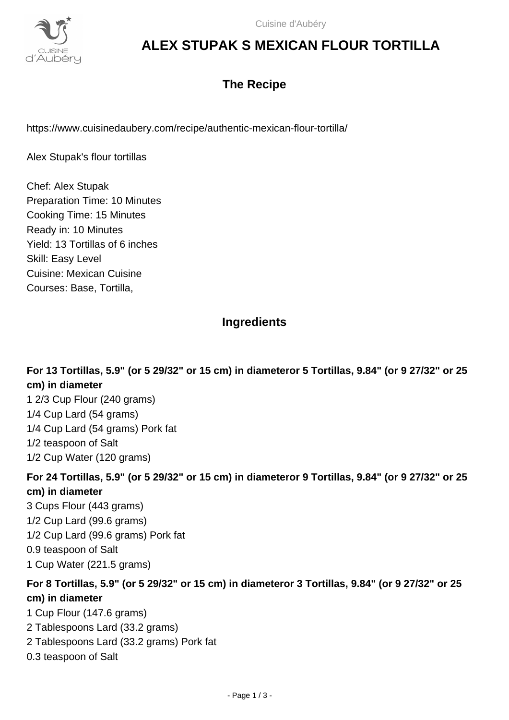

# **ALEX STUPAK S MEXICAN FLOUR TORTILLA**

# **The Recipe**

https://www.cuisinedaubery.com/recipe/authentic-mexican-flour-tortilla/

Alex Stupak's flour tortillas

Chef: Alex Stupak Preparation Time: 10 Minutes Cooking Time: 15 Minutes Ready in: 10 Minutes Yield: 13 Tortillas of 6 inches Skill: Easy Level Cuisine: Mexican Cuisine Courses: Base, Tortilla,

## **Ingredients**

**For 13 Tortillas, 5.9" (or 5 29/32" or 15 cm) in diameteror 5 Tortillas, 9.84" (or 9 27/32" or 25 cm) in diameter**

1 2/3 Cup Flour (240 grams) 1/4 Cup Lard (54 grams) 1/4 Cup Lard (54 grams) Pork fat 1/2 teaspoon of Salt 1/2 Cup Water (120 grams)

**For 24 Tortillas, 5.9" (or 5 29/32" or 15 cm) in diameteror 9 Tortillas, 9.84" (or 9 27/32" or 25 cm) in diameter**

3 Cups Flour (443 grams) 1/2 Cup Lard (99.6 grams) 1/2 Cup Lard (99.6 grams) Pork fat 0.9 teaspoon of Salt 1 Cup Water (221.5 grams)

## **For 8 Tortillas, 5.9" (or 5 29/32" or 15 cm) in diameteror 3 Tortillas, 9.84" (or 9 27/32" or 25 cm) in diameter**

1 Cup Flour (147.6 grams) 2 Tablespoons Lard (33.2 grams) 2 Tablespoons Lard (33.2 grams) Pork fat 0.3 teaspoon of Salt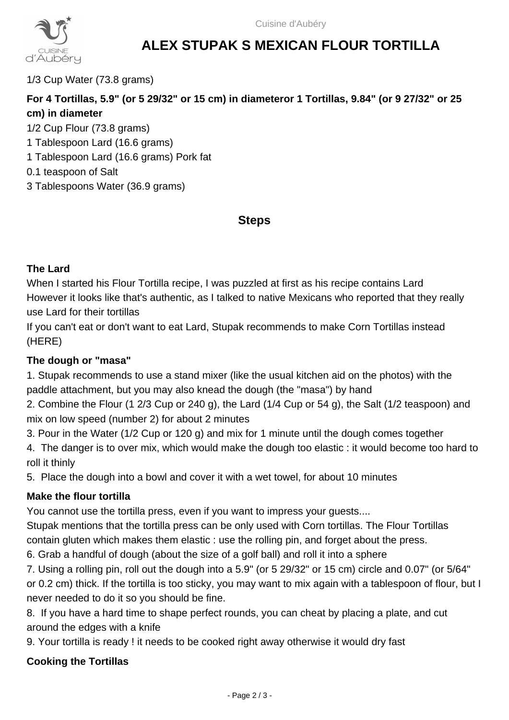

# **ALEX STUPAK S MEXICAN FLOUR TORTILLA**

1/3 Cup Water (73.8 grams)

# **For 4 Tortillas, 5.9" (or 5 29/32" or 15 cm) in diameteror 1 Tortillas, 9.84" (or 9 27/32" or 25 cm) in diameter**

1/2 Cup Flour (73.8 grams)

- 1 Tablespoon Lard (16.6 grams)
- 1 Tablespoon Lard (16.6 grams) Pork fat
- 0.1 teaspoon of Salt
- 3 Tablespoons Water (36.9 grams)

## **Steps**

#### **The Lard**

When I started his Flour Tortilla recipe, I was puzzled at first as his recipe contains Lard However it looks like that's authentic, as I talked to native Mexicans who reported that they really use Lard for their tortillas

If you can't eat or don't want to eat Lard, Stupak recommends to make Corn Tortillas instead (HERE)

### **The dough or "masa"**

1. Stupak recommends to use a stand mixer (like the usual kitchen aid on the photos) with the paddle attachment, but you may also knead the dough (the "masa") by hand

2. Combine the Flour (1 2/3 Cup or 240 g), the Lard (1/4 Cup or 54 g), the Salt (1/2 teaspoon) and mix on low speed (number 2) for about 2 minutes

3. Pour in the Water (1/2 Cup or 120 g) and mix for 1 minute until the dough comes together

4. The danger is to over mix, which would make the dough too elastic : it would become too hard to roll it thinly

5. Place the dough into a bowl and cover it with a wet towel, for about 10 minutes

### **Make the flour tortilla**

You cannot use the tortilla press, even if you want to impress your guests....

Stupak mentions that the tortilla press can be only used with Corn tortillas. The Flour Tortillas contain gluten which makes them elastic : use the rolling pin, and forget about the press.

6. Grab a handful of dough (about the size of a golf ball) and roll it into a sphere

7. Using a rolling pin, roll out the dough into a 5.9" (or 5 29/32" or 15 cm) circle and 0.07" (or 5/64" or 0.2 cm) thick. If the tortilla is too sticky, you may want to mix again with a tablespoon of flour, but I never needed to do it so you should be fine.

8. If you have a hard time to shape perfect rounds, you can cheat by placing a plate, and cut around the edges with a knife

9. Your tortilla is ready ! it needs to be cooked right away otherwise it would dry fast

### **Cooking the Tortillas**